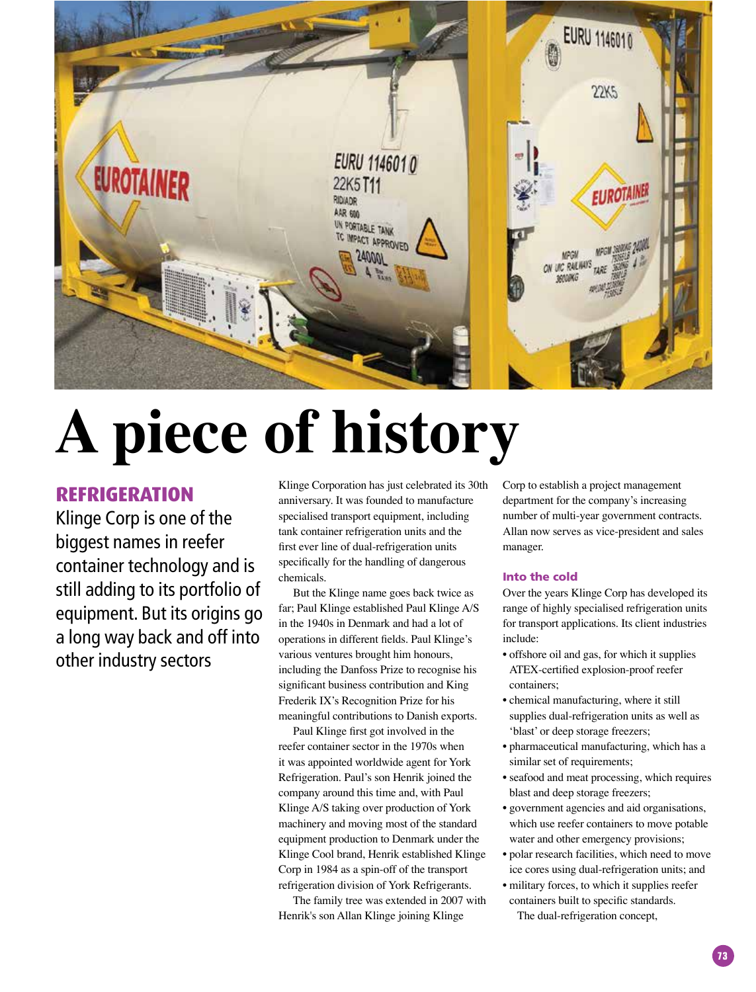

# **A piece of history**

## **REFRIGERATION**

Klinge Corp is one of the biggest names in reefer container technology and is still adding to its portfolio of equipment. But its origins go a long way back and off into other industry sectors

Klinge Corporation has just celebrated its 30th anniversary. It was founded to manufacture specialised transport equipment, including tank container refrigeration units and the frst ever line of dual-refrigeration units specifcally for the handling of dangerous chemicals.

But the Klinge name goes back twice as far; Paul Klinge established Paul Klinge A/S in the 1940s in Denmark and had a lot of operations in different felds. Paul Klinge's various ventures brought him honours, including the Danfoss Prize to recognise his signifcant business contribution and King Frederik IX's Recognition Prize for his meaningful contributions to Danish exports.

Paul Klinge frst got involved in the reefer container sector in the 1970s when it was appointed worldwide agent for York Refrigeration. Paul's son Henrik joined the company around this time and, with Paul Klinge A/S taking over production of York machinery and moving most of the standard equipment production to Denmark under the Klinge Cool brand, Henrik established Klinge Corp in 1984 as a spin-off of the transport refrigeration division of York Refrigerants.

The family tree was extended in 2007 with Henrik's son Allan Klinge joining Klinge

Corp to establish a project management department for the company's increasing number of multi-year government contracts. Allan now serves as vice-president and sales manager.

## Into the cold

Over the years Klinge Corp has developed its range of highly specialised refrigeration units for transport applications. Its client industries include:

- offshore oil and gas, for which it supplies ATEX-certifed explosion-proof reefer containers;
- chemical manufacturing, where it still supplies dual-refrigeration units as well as 'blast' or deep storage freezers;
- pharmaceutical manufacturing, which has a similar set of requirements;
- seafood and meat processing, which requires blast and deep storage freezers;
- government agencies and aid organisations, which use reefer containers to move potable water and other emergency provisions;
- polar research facilities, which need to move ice cores using dual-refrigeration units; and
- military forces, to which it supplies reefer containers built to specifc standards.

The dual-refrigeration concept,